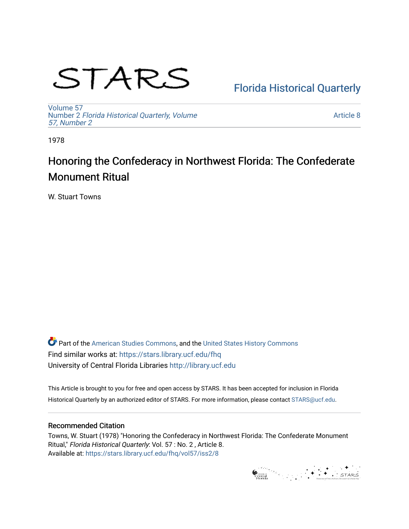# STARS

# [Florida Historical Quarterly](https://stars.library.ucf.edu/fhq)

[Volume 57](https://stars.library.ucf.edu/fhq/vol57) Number 2 [Florida Historical Quarterly, Volume](https://stars.library.ucf.edu/fhq/vol57/iss2)  [57, Number 2](https://stars.library.ucf.edu/fhq/vol57/iss2)

[Article 8](https://stars.library.ucf.edu/fhq/vol57/iss2/8) 

1978

# Honoring the Confederacy in Northwest Florida: The Confederate Monument Ritual

W. Stuart Towns

**C** Part of the [American Studies Commons](http://network.bepress.com/hgg/discipline/439?utm_source=stars.library.ucf.edu%2Ffhq%2Fvol57%2Fiss2%2F8&utm_medium=PDF&utm_campaign=PDFCoverPages), and the United States History Commons Find similar works at: <https://stars.library.ucf.edu/fhq> University of Central Florida Libraries [http://library.ucf.edu](http://library.ucf.edu/) 

This Article is brought to you for free and open access by STARS. It has been accepted for inclusion in Florida Historical Quarterly by an authorized editor of STARS. For more information, please contact [STARS@ucf.edu.](mailto:STARS@ucf.edu)

# Recommended Citation

Towns, W. Stuart (1978) "Honoring the Confederacy in Northwest Florida: The Confederate Monument Ritual," Florida Historical Quarterly: Vol. 57 : No. 2, Article 8. Available at: [https://stars.library.ucf.edu/fhq/vol57/iss2/8](https://stars.library.ucf.edu/fhq/vol57/iss2/8?utm_source=stars.library.ucf.edu%2Ffhq%2Fvol57%2Fiss2%2F8&utm_medium=PDF&utm_campaign=PDFCoverPages) 

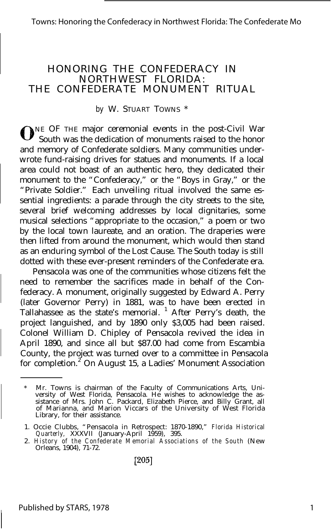## HONORING THE CONFEDERACY IN NORTHWEST FLORIDA: THE CONFEDERATE MONUMENT RITUAL

#### *by* W. STUART TOWNS \*

THE major ceremonial events in the post-Civil War South was the dedication of monuments raised to the honor and memory of Confederate soldiers. Many communities underwrote fund-raising drives for statues and monuments. If a local area could not boast of an authentic hero, they dedicated their monument to the "Confederacy," or the "Boys in Gray," or the "Private Soldier." Each unveiling ritual involved the same essential ingredients: a parade through the city streets to the site, several brief welcoming addresses by local dignitaries, some musical selections "appropriate to the occasion," a poem or two by the local town laureate, and an oration. The draperies were then lifted from around the monument, which would then stand as an enduring symbol of the Lost Cause. The South today is still dotted with these ever-present reminders of the Confederate era.

Pensacola was one of the communities whose citizens felt the need to remember the sacrifices made in behalf of the Confederacy. A monument, originally suggested by Edward A. Perry (later Governor Perry) in 1881, was to have been erected in Tallahassee as the state's memorial.  $1$  After Perry's death, the project languished, and by 1890 only \$3,005 had been raised. Colonel William D. Chipley of Pensacola revived the idea in April 1890, and since all but \$87.00 had come from Escambia County, the project was turned over to a committee in Pensacola for completion.<sup> $z$ </sup> On August 15, a Ladies' Monument Association

<sup>\*</sup> Mr. Towns is chairman of the Faculty of Communications Arts, Uni-versity of West Florida, Pensacola. He wishes to acknowledge the assistance of Mrs. John C. Packard, Elizabeth Pierce, and Billy Grant, all of Marianna, and Marion Viccars of the University of West Florida Library, for their assistance.

<sup>1.</sup> Occie Clubbs, "Pensacola in Retrospect: 1870-1890," *Florida Historical Quarterly,* XXXVII (January-April 1959), 395.

<sup>2.</sup> *History of the Confederate Memorial Associations of the South* (New Orleans, 1904), 71-72.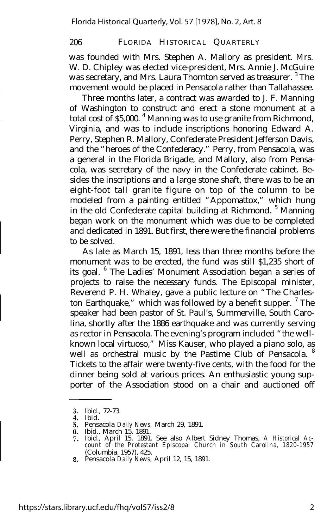#### 206 FLORIDA HISTORICAL QUARTERLY

was founded with Mrs. Stephen A. Mallory as president. Mrs. W. D. Chipley was elected vice-president, Mrs. Annie J. McGuire was secretary, and Mrs. Laura Thornton served as treasurer.  $^3$  The movement would be placed in Pensacola rather than Tallahassee.

Three months later, a contract was awarded to J. F. Manning of Washington to construct and erect a stone monument at a total cost of \$5,000.  $^4$  Manning was to use granite from Richmond, Virginia, and was to include inscriptions honoring Edward A. Perry, Stephen R. Mallory, Confederate President Jefferson Davis, and the "heroes of the Confederacy." Perry, from Pensacola, was a general in the Florida Brigade, and Mallory, also from Pensacola, was secretary of the navy in the Confederate cabinet. Besides the inscriptions and a large stone shaft, there was to be an eight-foot tall granite figure on top of the column to be modeled from a painting entitled "Appomattox," which hung in the old Confederate capital building at Richmond.<sup>5</sup> Manning began work on the monument which was due to be completed and dedicated in 1891. But first, there were the financial problems to be solved.

As late as March 15, 1891, less than three months before the monument was to be erected, the fund was still \$1,235 short of its goal. <sup>6</sup> The Ladies' Monument Association began a series of projects to raise the necessary funds. The Episcopal minister, Reverend P. H. Whaley, gave a public lecture on "The Charleston Earthquake," which was followed by a benefit supper. <sup>7</sup> The speaker had been pastor of St. Paul's, Summerville, South Carolina, shortly after the 1886 earthquake and was currently serving as rector in Pensacola. The evening's program included "the wellknown local virtuoso," Miss Kauser, who played a piano solo, as well as orchestral music by the Pastime Club of Pensacola. <sup>8</sup> Tickets to the affair were twenty-five cents, with the food for the dinner being sold at various prices. An enthusiastic young supporter of the Association stood on a chair and auctioned off

<sup>3.</sup> Ibid., 72-73.

<sup>4.</sup> Ibid.

Pensacola *Daily News,* March 29, 1891.

Ibid., March 15, 1891.

Ibid., April 15, 1891. See also Albert Sidney Thomas, *A Historical Account of the Protestant Episcopal Church in South Carolina, 1820-1957* (Columbia, 1957), 425.

Pensacola *Daily News,* April 12, 15, 1891.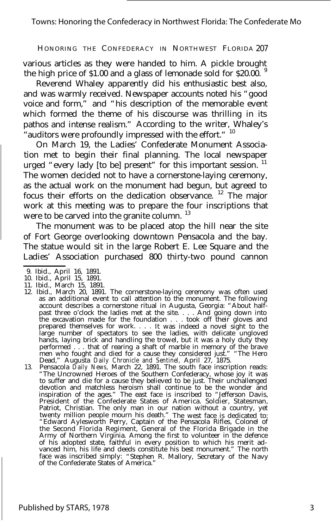#### HONORING THE CONFEDERACY IN NORTHWEST FLORIDA 207

various articles as they were handed to him. A pickle brought the high price of \$1.00 and a glass of lemonade sold for \$20.00.  $\degree$ 

Reverend Whaley apparently did his enthusiastic best also, and was warmly received. Newspaper accounts noted his "good voice and form," and "his description of the memorable event which formed the theme of his discourse was thrilling in its pathos and intense realism." According to the writer, Whaley's "auditors were profoundly impressed with the effort."  $10$ 

On March 19, the Ladies' Confederate Monument Association met to begin their final planning. The local newspaper urged "every lady  $[$  to be $]$  present" for this important session.  $11$ The women decided not to have a cornerstone-laying ceremony, as the actual work on the monument had begun, but agreed to focus their efforts on the dedication observance.<sup>12</sup> The major work at this meeting was to prepare the four inscriptions that were to be carved into the granite column.  $^{13}$ 

The monument was to be placed atop the hill near the site of Fort George overlooking downtown Pensacola and the bay. The statue would sit in the large Robert E. Lee Square and the Ladies' Association purchased 800 thirty-two pound cannon

- 11. Ibid., March 15, 1891.
- 12. Ibid., March 20, 1891. The cornerstone-laying ceremony was often used as an additional event to call attention to the monument. The following account describes a cornerstone ritual in Augusta, Georgia: "About halfpast three o'clock the ladies met at the site. . . . And going down into the excavation made for the foundation . . . took off their gloves and prepared themselves for work. . . . It was indeed a novel sight to the large number of spectators to see the ladies, with delicate ungloved hands, laying brick and handling the trowel, but it was a holy duty they performed . . . that of rearing a shaft of marble in memory of the brave men who fought and died for a cause they considered just." "The Hero
- Dead," Augusta *Daily Chronicle and Sentinel,* April 27, 1875. 13. Pensacola *Daily News,* March 22, 1891. The south face inscription reads: "The Uncrowned Heroes of the Southern Confederacy, whose joy it was to suffer and die for a cause they believed to be just. Their unchallenged devotion and matchless heroism shall continue to be the wonder and inspiration of the ages." The east face is inscribed to "Jefferson Davis, President of the Confederate States of America. Soldier, Statesman, Patriot, Christian. The only man in our nation without a country, yet twenty million people mourn his death." The west face is dedicated to: "Edward Aylesworth Perry, Captain of the Pensacola Rifles, Colonel of the Second Florida Regiment, General of the Florida Brigade in the Army of Northern Virginia. Among the first to volunteer in the defence of his adopted state, faithful in every position to which his merit ad-vanced him, his life and deeds constitute his best monument." The north face was inscribed simply: "Stephen R. Mallory, Secretary of the Navy of the Confederate States of America."

<sup>9.</sup> Ibid., April 16, 1891. 10. Ibid., April 15, 1891.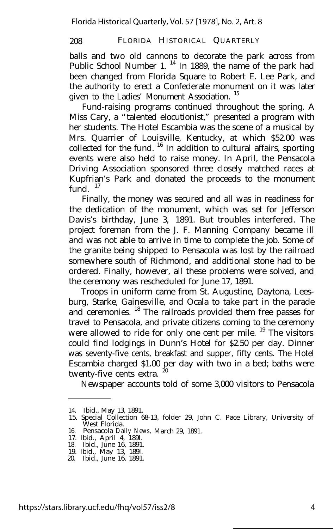### 208 FLORIDA HISTORICAL QUARTERLY

balls and two old cannons to decorate the park across from Public School Number 1.<sup>14</sup> In 1889, the name of the park had been changed from Florida Square to Robert E. Lee Park, and the authority to erect a Confederate monument on it was later given to the Ladies' Monument Association. <sup>15</sup>

Fund-raising programs continued throughout the spring. A Miss Cary, a "talented elocutionist," presented a program with her students. The Hotel Escambia was the scene of a musical by Mrs. Quarrier of Louisville, Kentucky, at which \$52.00 was collected for the fund.  $^{16}$  In addition to cultural affairs, sporting events were also held to raise money. In April, the Pensacola Driving Association sponsored three closely matched races at Kupfrian's Park and donated the proceeds to the monument fund.  $17$ 

Finally, the money was secured and all was in readiness for the dedication of the monument, which was set for Jefferson Davis's birthday, June 3, 1891. But troubles interfered. The project foreman from the J. F. Manning Company became ill and was not able to arrive in time to complete the job. Some of the granite being shipped to Pensacola was lost by the railroad somewhere south of Richmond, and additional stone had to be ordered. Finally, however, all these problems were solved, and the ceremony was rescheduled for June 17, 1891.

Troops in uniform came from St. Augustine, Daytona, Leesburg, Starke, Gainesville, and Ocala to take part in the parade and ceremonies. <sup>18</sup> The railroads provided them free passes for travel to Pensacola, and private citizens coming to the ceremony were allowed to ride for only one cent per mile. <sup>19</sup> The visitors could find lodgings in Dunn's Hotel for \$2.50 per day. Dinner was seventy-five cents, breakfast and supper, fifty cents. The Hotel Escambia charged \$1.00 per day with two in a bed; baths were twenty-five cents extra.<sup>20</sup>

Newspaper accounts told of some 3,000 visitors to Pensacola

<sup>14.</sup> Ibid., May 13, 1891. 15. Special Collection 68-13, folder 29, John C. Pace Library, University of West Florida.

<sup>16.</sup> Pensacola *Daily News,* March 29, 1891.

<sup>17.</sup> Ibid., April 4, 189l. 18. Ibid., June 16, 1891.

<sup>19.</sup> Ibid., May 13, 189l.

<sup>20.</sup> Ibid., June 16, 1891.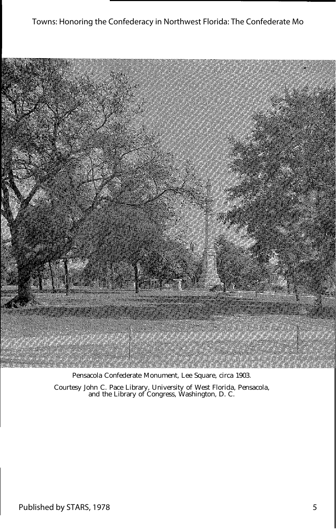## Towns: Honoring the Confederacy in Northwest Florida: The Confederate Mo



Pensacola Confederate Monument, Lee Square, circa 1903. Courtesy John C. Pace Library, University of West Florida, Pensacola, and the Library of Congress, Washington, D. C.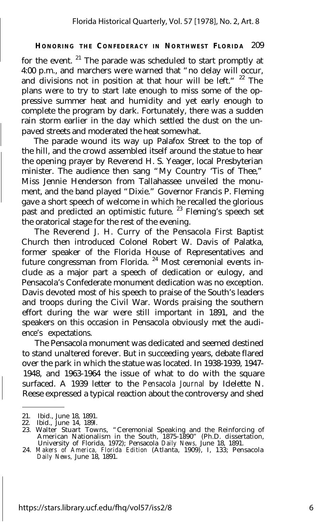#### **HONORING THE CONFEDERACY IN NORTHWEST FLORIDA** 209

for the event.  $21$  The parade was scheduled to start promptly at 4:00 p.m., and marchers were warned that "no delay will occur, and divisions not in position at that hour will be left." <sup>22</sup> The plans were to try to start late enough to miss some of the oppressive summer heat and humidity and yet early enough to complete the program by dark. Fortunately, there was a sudden rain storm earlier in the day which settled the dust on the unpaved streets and moderated the heat somewhat.

The parade wound its way up Palafox Street to the top of the hill, and the crowd assembled itself around the statue to hear the opening prayer by Reverend H. S. Yeager, local Presbyterian minister. The audience then sang "My Country 'Tis of Thee," Miss Jennie Henderson from Tallahassee unveiled the monument, and the band played "Dixie." Governor Francis P. Fleming gave a short speech of welcome in which he recalled the glorious past and predicted an optimistic future.  $23$  Fleming's speech set the oratorical stage for the rest of the evening.

The Reverend J. H. Curry of the Pensacola First Baptist Church then introduced Colonel Robert W. Davis of Palatka, former speaker of the Florida House of Representatives and future congressman from Florida.<sup>24</sup> Most ceremonial events include as a major part a speech of dedication or eulogy, and Pensacola's Confederate monument dedication was no exception. Davis devoted most of his speech to praise of the South's leaders and troops during the Civil War. Words praising the southern effort during the war were still important in 1891, and the speakers on this occasion in Pensacola obviously met the audience's expectations.

The Pensacola monument was dedicated and seemed destined to stand unaltered forever. But in succeeding years, debate flared over the park in which the statue was located. In 1938-1939, 1947- 1948, and 1963-1964 the issue of what to do with the square surfaced. A 1939 letter to the *Pensacola Journal* by Idelette N. Reese expressed a typical reaction about the controversy and shed

<sup>21.</sup> Ibid., June 18, 1891.

<sup>22.</sup> Ibid., June 14, 189l.

<sup>23.</sup> Walter Stuart Towns, "Ceremonial Speaking and the Reinforcing of American Nationalism in the South, 1875-1890" (Ph.D. dissertation,

University of Florida, 1972); Pensacola *Daily News,* June 18, 1891. 24. *Makers of America, Florida Edition* (Atlanta, 1909), I, 133; Pensacola *Daily News,* June 18, 1891.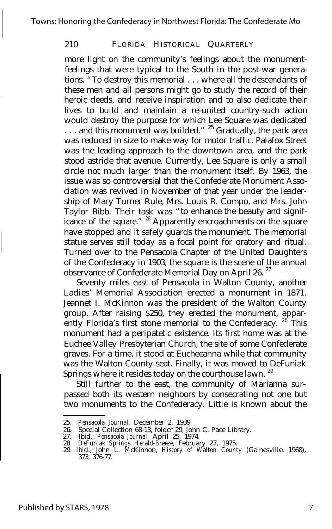#### 210 FLORIDA HISTORICAL QUARTERLY

more light on the community's feelings about the monumentfeelings that were typical to the South in the post-war generations. "To destroy this memorial . . . where all the descendants of these men and all persons might go to study the record of their heroic deeds, and receive inspiration and to also dedicate their lives to build and maintain a re-united country-such action would destroy the purpose for which Lee Square was dedicated ... and this monument was builded."<sup>25</sup> Gradually, the park area was reduced in size to make way for motor traffic. Palafox Street was the leading approach to the downtown area, and the park stood astride that avenue. Currently, Lee Square is only a small circle not much larger than the monument itself. By 1963, the issue was so controversial that the Confederate Monument Association was revived in November of that year under the leadership of Mary Turner Rule, Mrs. Louis R. Compo, and Mrs. John Taylor Bibb. Their task was "to enhance the beauty and significance of the square." <sup>26</sup> Apparently encroachments on the square have stopped and it safely guards the monument. The memorial statue serves still today as a focal point for oratory and ritual. Turned over to the Pensacola Chapter of the United Daughters of the Confederacy in 1903, the square is the scene of the annual observance of Confederate Memorial Day on April 26.<sup>27</sup>

Seventy miles east of Pensacola in Walton County, another Ladies' Memorial Association erected a monument in 1871. Jeannet I. McKinnon was the president of the Walton County group. After raising \$250, they erected the monument, apparently Florida's first stone memorial to the Confederacy.<sup>28</sup> This monument had a peripatetic existence. Its first home was at the Euchee Valley Presbyterian Church, the site of some Confederate graves. For a time, it stood at Eucheeanna while that community was the Walton County seat. Finally, it was moved to DeFuniak Springs where it resides today on the courthouse lawn.<sup>29</sup>

Still further to the east, the community of Marianna surpassed both its western neighbors by consecrating not one but two monuments to the Confederacy. Little is known about the

<sup>25.</sup> *Pensacola Journal,* December 2, 1939.

<sup>26.</sup> Special Collection 68-13, folder 29, John C. Pace Library. 27. Ibid.; *Pensacola Journal,* April 25, 1974.

<sup>28.</sup> *DeFuniak Springs Herald-Breeze,* February 27, 1975. 29. Ibid.; John L. McKinnon, *History of Walton County* (Gainesville, 1968), 373, 376-77.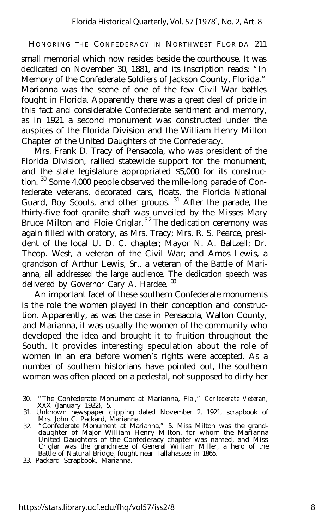#### HONORING THE CONFEDERACY IN NORTHWEST FLORIDA 211

small memorial which now resides beside the courthouse. It was dedicated on November 30, 1881, and its inscription reads: "In Memory of the Confederate Soldiers of Jackson County, Florida." Marianna was the scene of one of the few Civil War battles fought in Florida. Apparently there was a great deal of pride in this fact and considerable Confederate sentiment and memory, as in 1921 a second monument was constructed under the auspices of the Florida Division and the William Henry Milton Chapter of the United Daughters of the Confederacy.

Mrs. Frank D. Tracy of Pensacola, who was president of the Florida Division, rallied statewide support for the monument, and the state legislature appropriated \$5,000 for its construction.  $30$  Some 4,000 people observed the mile-long parade of Confederate veterans, decorated cars, floats, the Florida National Guard, Boy Scouts, and other groups. <sup>31</sup> After the parade, the thirty-five foot granite shaft was unveiled by the Misses Mary Bruce Milton and Floie Criglar.<sup>32</sup> The dedication ceremony was again filled with oratory, as Mrs. Tracy; Mrs. R. S. Pearce, president of the local U. D. C. chapter; Mayor N. A. Baltzell; Dr. Theop. West, a veteran of the Civil War; and Amos Lewis, a grandson of Arthur Lewis, Sr., a veteran of the Battle of Marianna, all addressed the large audience. The dedication speech was delivered by Governor Cary A. Hardee. 33

An important facet of these southern Confederate monuments is the role the women played in their conception and construction. Apparently, as was the case in Pensacola, Walton County, and Marianna, it was usually the women of the community who developed the idea and brought it to fruition throughout the South. It provides interesting speculation about the role of women in an era before women's rights were accepted. As a number of southern historians have pointed out, the southern woman was often placed on a pedestal, not supposed to dirty her

<sup>30.</sup> "The Confederate Monument at Marianna, Fla.," *Confederate Veteran,* XXX (January 1922), 5. 31. Unknown newspaper clipping dated November 2, 1921, scrapbook of

Mrs. John C. Packard, Marianna.

<sup>32.</sup> "Confederate Monument at Marianna," 5. Miss Milton was the grand-daughter of Major William Henry Milton, for whom the Marianna United Daughters of the Confederacy chapter was named, and Miss Criglar was the grandniece of General William Miller, a hero of the Battle of Natural Bridge, fought near Tallahassee in 1865.

<sup>33.</sup> Packard Scrapbook, Marianna.